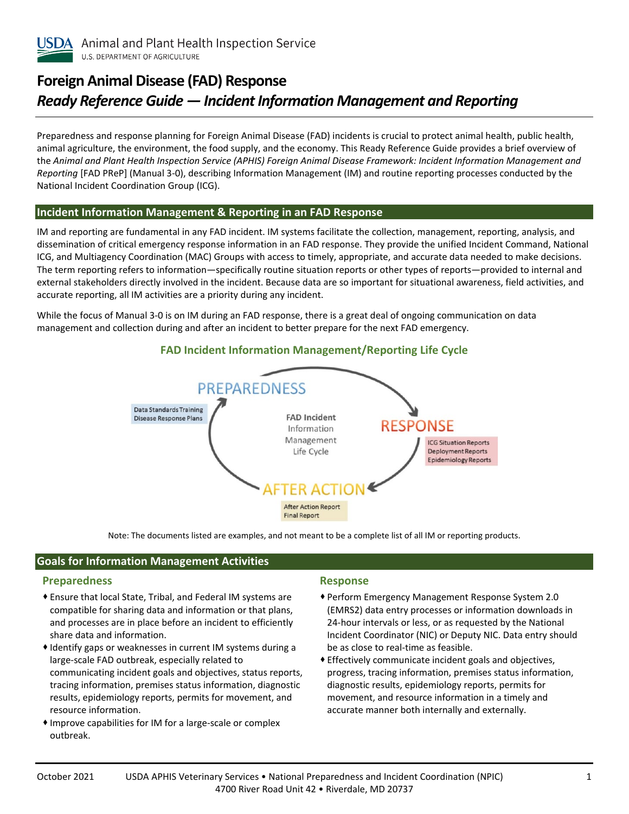

# **Foreign Animal Disease (FAD) Response**  *Ready Reference Guide ― Incident Information Management and Reporting*

Preparedness and response planning for Foreign Animal Disease (FAD) incidents is crucial to protect animal health, public health, animal agriculture, the environment, the food supply, and the economy. This Ready Reference Guide provides a brief overview of the *Animal and Plant Health Inspection Service (APHIS) Foreign Animal Disease Framework: Incident Information Management and Reporting* [FAD PReP] (Manual 3-0), describing Information Management (IM) and routine reporting processes conducted by the National Incident Coordination Group (ICG).

#### **Incident Information Management & Reporting in an FAD Response**

IM and reporting are fundamental in any FAD incident. IM systems facilitate the collection, management, reporting, analysis, and dissemination of critical emergency response information in an FAD response. They provide the unified Incident Command, National ICG, and Multiagency Coordination (MAC) Groups with access to timely, appropriate, and accurate data needed to make decisions. The term reporting refers to information—specifically routine situation reports or other types of reports—provided to internal and external stakeholders directly involved in the incident. Because data are so important for situational awareness, field activities, and accurate reporting, all IM activities are a priority during any incident.

While the focus of Manual 3-0 is on IM during an FAD response, there is a great deal of ongoing communication on data management and collection during and after an incident to better prepare for the next FAD emergency.



**FAD Incident Information Management/Reporting Life Cycle**

Note: The documents listed are examples, and not meant to be a complete list of all IM or reporting products.

# **Goals for Information Management Activities**

## **Preparedness**

- Ensure that local State, Tribal, and Federal IM systems are compatible for sharing data and information or that plans, and processes are in place before an incident to efficiently share data and information.
- Identify gaps or weaknesses in current IM systems during a large-scale FAD outbreak, especially related to communicating incident goals and objectives, status reports, tracing information, premises status information, diagnostic results, epidemiology reports, permits for movement, and resource information.
- Improve capabilities for IM for a large-scale or complex outbreak.

#### **Response**

- Perform Emergency Management Response System 2.0 (EMRS2) data entry processes or information downloads in 24-hour intervals or less, or as requested by the National Incident Coordinator (NIC) or Deputy NIC. Data entry should be as close to real-time as feasible.
- Effectively communicate incident goals and objectives, progress, tracing information, premises status information, diagnostic results, epidemiology reports, permits for movement, and resource information in a timely and accurate manner both internally and externally.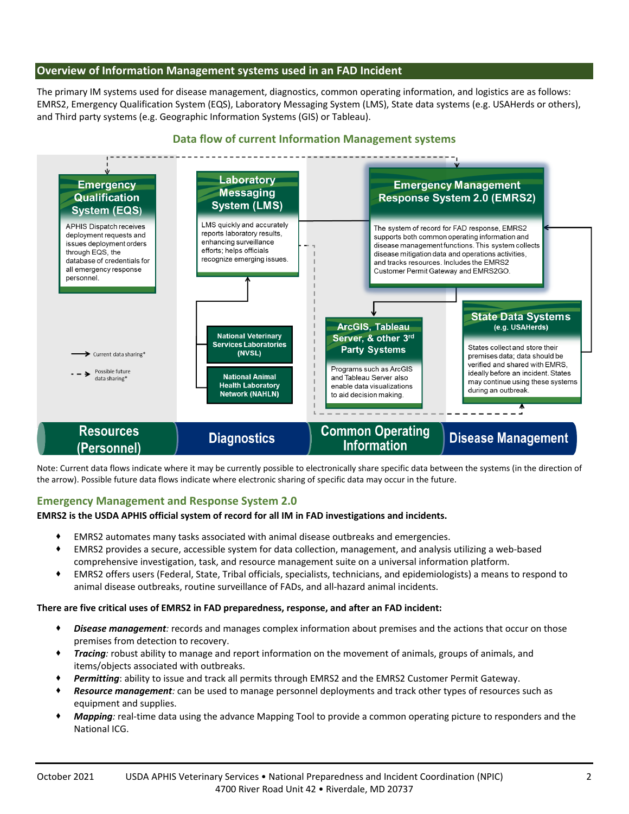## **Overview of Information Management systems used in an FAD Incident**

The primary IM systems used for disease management, diagnostics, common operating information, and logistics are as follows: EMRS2, Emergency Qualification System (EQS), Laboratory Messaging System (LMS), State data systems (e.g. USAHerds or others), and Third party systems (e.g. Geographic Information Systems (GIS) or Tableau).

## **Data flow of current Information Management systems**



Note: Current data flows indicate where it may be currently possible to electronically share specific data between the systems (in the direction of the arrow). Possible future data flows indicate where electronic sharing of specific data may occur in the future.

# **Emergency Management and Response System 2.0**

#### **EMRS2 is the USDA APHIS official system of record for all IM in FAD investigations and incidents.**

- EMRS2 automates many tasks associated with animal disease outbreaks and emergencies.
- EMRS2 provides a secure, accessible system for data collection, management, and analysis utilizing a web-based comprehensive investigation, task, and resource management suite on a universal information platform.
- EMRS2 offers users (Federal, State, Tribal officials, specialists, technicians, and epidemiologists) a means to respond to animal disease outbreaks, routine surveillance of FADs, and all-hazard animal incidents.

#### **There are five critical uses of EMRS2 in FAD preparedness, response, and after an FAD incident:**

- *Disease management:* records and manages complex information about premises and the actions that occur on those premises from detection to recovery.
- *Tracing:* robust ability to manage and report information on the movement of animals, groups of animals, and items/objects associated with outbreaks.
- Permitting: ability to issue and track all permits through EMRS2 and the EMRS2 Customer Permit Gateway.
- *Resource management:* can be used to manage personnel deployments and track other types of resources such as equipment and supplies.
- *Mapping:* real-time data using the advance Mapping Tool to provide a common operating picture to responders and the National ICG.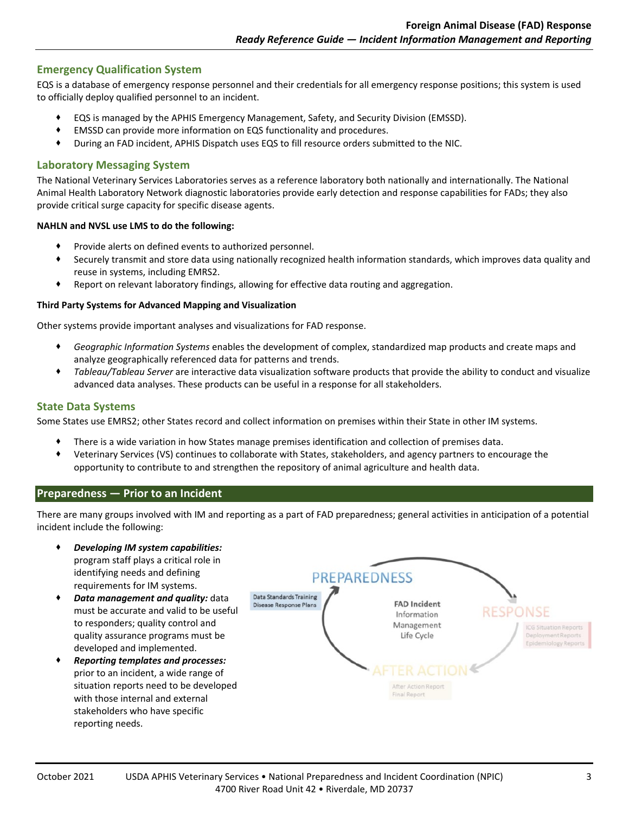# **Emergency Qualification System**

EQS is a database of emergency response personnel and their credentials for all emergency response positions; this system is used to officially deploy qualified personnel to an incident.

- EQS is managed by the APHIS Emergency Management, Safety, and Security Division (EMSSD).
- EMSSD can provide more information on EQS functionality and procedures.
- During an FAD incident, APHIS Dispatch uses EQS to fill resource orders submitted to the NIC.

## **Laboratory Messaging System**

The National Veterinary Services Laboratories serves as a reference laboratory both nationally and internationally. The National Animal Health Laboratory Network diagnostic laboratories provide early detection and response capabilities for FADs; they also provide critical surge capacity for specific disease agents.

#### **NAHLN and NVSL use LMS to do the following:**

- Provide alerts on defined events to authorized personnel.
- Securely transmit and store data using nationally recognized health information standards, which improves data quality and reuse in systems, including EMRS2.
- Report on relevant laboratory findings, allowing for effective data routing and aggregation.

### **Third Party Systems for Advanced Mapping and Visualization**

Other systems provide important analyses and visualizations for FAD response.

- *Geographic Information Systems* enables the development of complex, standardized map products and create maps and analyze geographically referenced data for patterns and trends.
- *Tableau/Tableau Server* are interactive data visualization software products that provide the ability to conduct and visualize advanced data analyses. These products can be useful in a response for all stakeholders.

## **State Data Systems**

Some States use EMRS2; other States record and collect information on premises within their State in other IM systems.

- There is a wide variation in how States manage premises identification and collection of premises data.
- Veterinary Services (VS) continues to collaborate with States, stakeholders, and agency partners to encourage the opportunity to contribute to and strengthen the repository of animal agriculture and health data.

## **Preparedness — Prior to an Incident**

There are many groups involved with IM and reporting as a part of FAD preparedness; general activities in anticipation of a potential incident include the following:

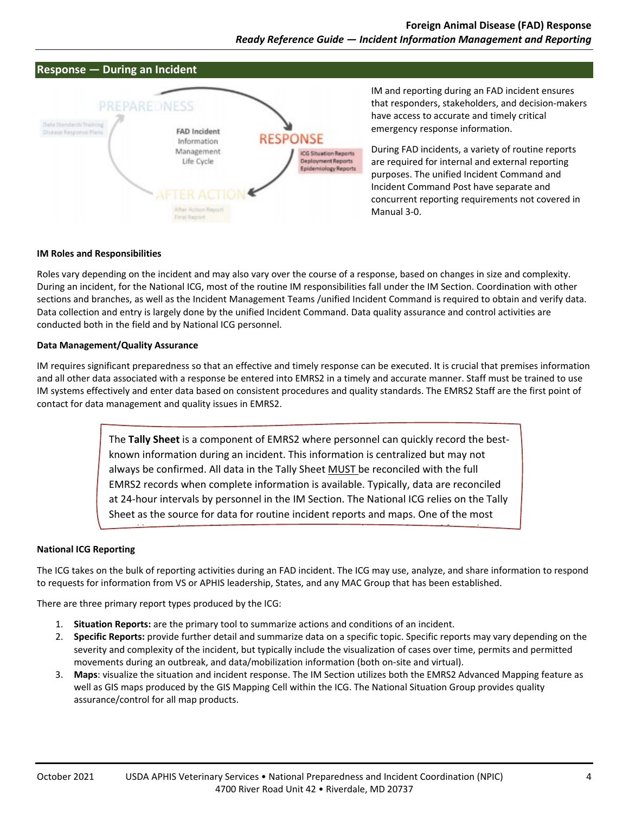



IM and reporting during an FAD incident ensures that responders, stakeholders, and decision-makers have access to accurate and timely critical emergency response information.

During FAD incidents, a variety of routine reports are required for internal and external reporting purposes. The unified Incident Command and Incident Command Post have separate and concurrent reporting requirements not covered in Manual 3-0.

#### **IM Roles and Responsibilities**

Roles vary depending on the incident and may also vary over the course of a response, based on changes in size and complexity. During an incident, for the National ICG, most of the routine IM responsibilities fall under the IM Section. Coordination with other sections and branches, as well as the Incident Management Teams /unified Incident Command is required to obtain and verify data. Data collection and entry is largely done by the unified Incident Command. Data quality assurance and control activities are conducted both in the field and by National ICG personnel.

#### **Data Management/Quality Assurance**

IM requires significant preparedness so that an effective and timely response can be executed. It is crucial that premises information and all other data associated with a response be entered into EMRS2 in a timely and accurate manner. Staff must be trained to use IM systems effectively and enter data based on consistent procedures and quality standards. The EMRS2 Staff are the first point of contact for data management and quality issues in EMRS2.

> The **Tally Sheet** is a component of EMRS2 where personnel can quickly record the bestknown information during an incident. This information is centralized but may not always be confirmed. All data in the Tally Sheet MUST be reconciled with the full EMRS2 records when complete information is available. Typically, data are reconciled at 24-hour intervals by personnel in the IM Section. The National ICG relies on the Tally Sheet as the source for data for routine incident reports and maps. One of the most

l l l d d h d h d f l

#### **National ICG Reporting**

The ICG takes on the bulk of reporting activities during an FAD incident. The ICG may use, analyze, and share information to respond to requests for information from VS or APHIS leadership, States, and any MAC Group that has been established.

There are three primary report types produced by the ICG:

- 1. **Situation Reports:** are the primary tool to summarize actions and conditions of an incident.
- 2. **Specific Reports:** provide further detail and summarize data on a specific topic. Specific reports may vary depending on the severity and complexity of the incident, but typically include the visualization of cases over time, permits and permitted movements during an outbreak, and data/mobilization information (both on-site and virtual).
- 3. **Maps**: visualize the situation and incident response. The IM Section utilizes both the EMRS2 Advanced Mapping feature as well as GIS maps produced by the GIS Mapping Cell within the ICG. The National Situation Group provides quality assurance/control for all map products.